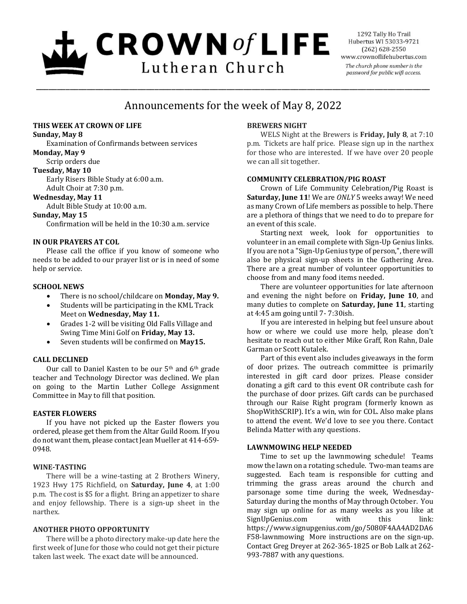# $\mathbf{L}$  CROWN of LIFE Lutheran Church

1292 Tally Ho Trail Hubertus WI 53033-9721  $(262)$  628-2550 www.crownoflifehubertus.com The church phone number is the password for public wifi access.

# Announcements for the week of May 8, 2022

\_\_\_\_\_\_\_\_\_\_\_\_\_\_\_\_\_\_\_\_\_\_\_\_\_\_\_\_\_\_\_\_\_\_\_\_\_\_\_\_\_\_\_\_\_\_\_\_\_\_\_\_\_\_\_\_\_\_\_\_\_\_\_\_\_\_\_\_\_\_\_\_\_\_\_\_\_\_\_\_\_\_\_\_\_\_\_\_\_\_\_\_\_

# **THIS WEEK AT CROWN OF LIFE**

**Sunday, May 8**

Examination of Confirmands between services **Monday, May 9**

# Scrip orders due

**Tuesday, May 10**

Early Risers Bible Study at 6:00 a.m. Adult Choir at 7:30 p.m.

# **Wednesday, May 11**

Adult Bible Study at 10:00 a.m.

### **Sunday, May 15**

Confirmation will be held in the 10:30 a.m. service

# **IN OUR PRAYERS AT COL**

Please call the office if you know of someone who needs to be added to our prayer list or is in need of some help or service.

# **SCHOOL NEWS**

- There is no school/childcare on **Monday, May 9.**
- Students will be participating in the KML Track Meet on **Wednesday, May 11.**
- Grades 1-2 will be visiting Old Falls Village and Swing Time Mini Golf on **Friday, May 13.**
- Seven students will be confirmed on **May15.**

# **CALL DECLINED**

Our call to Daniel Kasten to be our 5th and 6th grade teacher and Technology Director was declined. We plan on going to the Martin Luther College Assignment Committee in May to fill that position.

#### **EASTER FLOWERS**

If you have not picked up the Easter flowers you ordered, please get them from the Altar Guild Room. If you do not want them, please contact Jean Mueller at 414-659- 0948.

# **WINE-TASTING**

There will be a wine-tasting at 2 Brothers Winery, 1923 Hwy 175 Richfield, on **Saturday, June 4**, at 1:00 p.m. The cost is \$5 for a flight. Bring an appetizer to share and enjoy fellowship. There is a sign-up sheet in the narthex.

# **ANOTHER PHOTO OPPORTUNITY**

 There will be a photo directory make-up date here the first week of June for those who could not get their picture taken last week. The exact date will be announced.

# **BREWERS NIGHT**

WELS Night at the Brewers is **Friday, July 8**, at 7:10 p.m. Tickets are half price. Please sign up in the narthex for those who are interested. If we have over 20 people we can all sit together.

# **COMMUNITY CELEBRATION/PIG ROAST**

Crown of Life Community Celebration/Pig Roast is **Saturday, June 11**! We are *ONLY* 5 weeks away! We need as many Crown of Life members as possible to help. There are a plethora of things that we need to do to prepare for an event of this scale.

Starting next week, look for opportunities to volunteer in an email complete with Sign-Up Genius links. If you are not a "Sign-Up Genius type of person,", there will also be physical sign-up sheets in the Gathering Area. There are a great number of volunteer opportunities to choose from and many food items needed.

There are volunteer opportunities for late afternoon and evening the night before on **Friday, June 10**, and many duties to complete on **Saturday, June 11**, starting at 4:45 am going until 7- 7:30ish.

If you are interested in helping but feel unsure about how or where we could use more help, please don't hesitate to reach out to either Mike Graff, Ron Rahn, Dale Garman or Scott Kutalek.

Part of this event also includes giveaways in the form of door prizes. The outreach committee is primarily interested in gift card door prizes. Please consider donating a gift card to this event OR contribute cash for the purchase of door prizes. Gift cards can be purchased through our Raise Right program (formerly known as ShopWithSCRIP). It's a win, win for COL. Also make plans to attend the event. We'd love to see you there. Contact Belinda Matter with any questions.

#### **LAWNMOWING HELP NEEDED**

Time to set up the lawnmowing schedule! Teams mow the lawn on a rotating schedule. Two-man teams are suggested. Each team is responsible for cutting and trimming the grass areas around the church and parsonage some time during the week, Wednesday-Saturday during the months of May through October. You may sign up online for as many weeks as you like at SignUpGenius.com with this link: https://www.signupgenius.com/go/5080F4AA4AD2DA6 F58-lawnmowing More instructions are on the sign-up. Contact Greg Dreyer at 262-365-1825 or Bob Lalk at 262- 993-7887 with any questions.